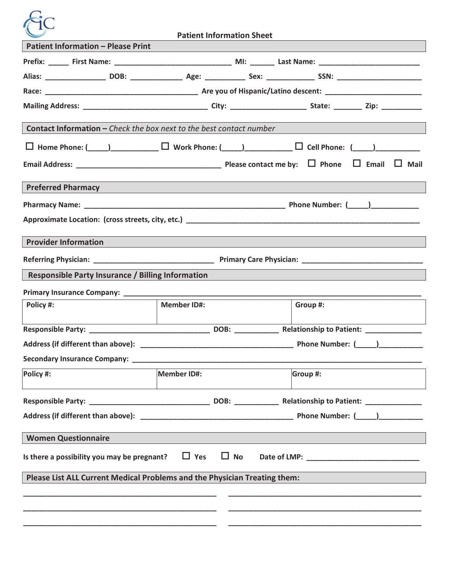

| <b>Patient Information - Please Print</b>                                                                                     |                                                                                                                                                                                                                               |  |          |  |  |  |  |  |
|-------------------------------------------------------------------------------------------------------------------------------|-------------------------------------------------------------------------------------------------------------------------------------------------------------------------------------------------------------------------------|--|----------|--|--|--|--|--|
| Prefix: ______ First Name: __________________________________ MI: _______ Last Name: _________________________                |                                                                                                                                                                                                                               |  |          |  |  |  |  |  |
|                                                                                                                               |                                                                                                                                                                                                                               |  |          |  |  |  |  |  |
|                                                                                                                               |                                                                                                                                                                                                                               |  |          |  |  |  |  |  |
|                                                                                                                               |                                                                                                                                                                                                                               |  |          |  |  |  |  |  |
|                                                                                                                               |                                                                                                                                                                                                                               |  |          |  |  |  |  |  |
| <b>Contact Information - Check the box next to the best contact number</b>                                                    |                                                                                                                                                                                                                               |  |          |  |  |  |  |  |
| $\Box$ Home Phone: (____)___________________ $\Box$ Work Phone: (____)_________________ $\Box$ Cell Phone: (____)____________ |                                                                                                                                                                                                                               |  |          |  |  |  |  |  |
|                                                                                                                               |                                                                                                                                                                                                                               |  |          |  |  |  |  |  |
| <b>Preferred Pharmacy</b>                                                                                                     | the control of the control of the control of the control of the control of the control of the control of the control of the control of the control of the control of the control of the control of the control of the control |  |          |  |  |  |  |  |
|                                                                                                                               |                                                                                                                                                                                                                               |  |          |  |  |  |  |  |
|                                                                                                                               |                                                                                                                                                                                                                               |  |          |  |  |  |  |  |
| Approximate Location: (cross streets, city, etc.) Approximate the control of the control of the control of the                |                                                                                                                                                                                                                               |  |          |  |  |  |  |  |
| <b>Provider Information</b>                                                                                                   |                                                                                                                                                                                                                               |  |          |  |  |  |  |  |
|                                                                                                                               |                                                                                                                                                                                                                               |  |          |  |  |  |  |  |
| <b>Responsible Party Insurance / Billing Information</b>                                                                      |                                                                                                                                                                                                                               |  |          |  |  |  |  |  |
|                                                                                                                               |                                                                                                                                                                                                                               |  |          |  |  |  |  |  |
| Policy #:                                                                                                                     | <b>Member ID#:</b>                                                                                                                                                                                                            |  | Group #: |  |  |  |  |  |
|                                                                                                                               |                                                                                                                                                                                                                               |  |          |  |  |  |  |  |
|                                                                                                                               |                                                                                                                                                                                                                               |  |          |  |  |  |  |  |
|                                                                                                                               |                                                                                                                                                                                                                               |  |          |  |  |  |  |  |
|                                                                                                                               |                                                                                                                                                                                                                               |  |          |  |  |  |  |  |
| Policy #:                                                                                                                     | Member ID#:                                                                                                                                                                                                                   |  | Group #: |  |  |  |  |  |
|                                                                                                                               |                                                                                                                                                                                                                               |  |          |  |  |  |  |  |
|                                                                                                                               |                                                                                                                                                                                                                               |  |          |  |  |  |  |  |
|                                                                                                                               |                                                                                                                                                                                                                               |  |          |  |  |  |  |  |
| <b>Women Questionnaire</b>                                                                                                    |                                                                                                                                                                                                                               |  |          |  |  |  |  |  |
| $\Box$ Yes<br>$\Box$ No<br>Is there a possibility you may be pregnant?                                                        |                                                                                                                                                                                                                               |  |          |  |  |  |  |  |
| Please List ALL Current Medical Problems and the Physician Treating them:                                                     |                                                                                                                                                                                                                               |  |          |  |  |  |  |  |
|                                                                                                                               |                                                                                                                                                                                                                               |  |          |  |  |  |  |  |
|                                                                                                                               |                                                                                                                                                                                                                               |  |          |  |  |  |  |  |
|                                                                                                                               |                                                                                                                                                                                                                               |  |          |  |  |  |  |  |
|                                                                                                                               |                                                                                                                                                                                                                               |  |          |  |  |  |  |  |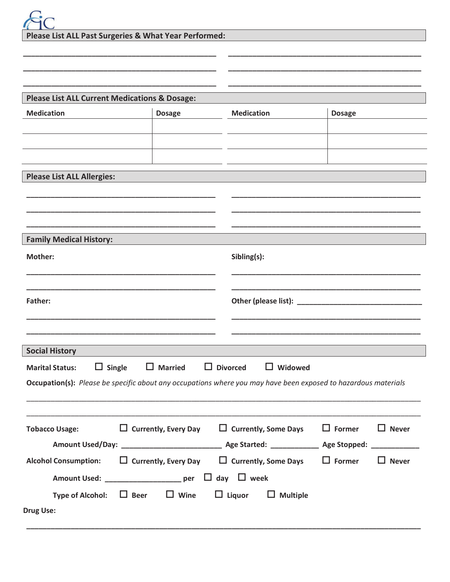| <b>FIC</b>                                            |
|-------------------------------------------------------|
| Please List ALL Past Surgeries & What Year Performed: |

| <b>Please List ALL Current Medications &amp; Dosage:</b>                                                              |                |                                                                        |               |              |  |  |  |
|-----------------------------------------------------------------------------------------------------------------------|----------------|------------------------------------------------------------------------|---------------|--------------|--|--|--|
| <b>Medication</b>                                                                                                     | <b>Dosage</b>  | <b>Medication</b>                                                      | <b>Dosage</b> |              |  |  |  |
|                                                                                                                       |                |                                                                        |               |              |  |  |  |
|                                                                                                                       |                |                                                                        |               |              |  |  |  |
|                                                                                                                       |                |                                                                        |               |              |  |  |  |
| <b>Please List ALL Allergies:</b>                                                                                     |                |                                                                        |               |              |  |  |  |
|                                                                                                                       |                |                                                                        |               |              |  |  |  |
|                                                                                                                       |                |                                                                        |               |              |  |  |  |
|                                                                                                                       |                |                                                                        |               |              |  |  |  |
| <b>Family Medical History:</b>                                                                                        |                |                                                                        |               |              |  |  |  |
| <b>Mother:</b>                                                                                                        |                | Sibling(s):                                                            |               |              |  |  |  |
|                                                                                                                       |                |                                                                        |               |              |  |  |  |
|                                                                                                                       |                |                                                                        |               |              |  |  |  |
| Father:                                                                                                               |                |                                                                        |               |              |  |  |  |
|                                                                                                                       |                |                                                                        |               |              |  |  |  |
|                                                                                                                       |                |                                                                        |               |              |  |  |  |
| <b>Social History</b>                                                                                                 |                |                                                                        |               |              |  |  |  |
| $\Box$ Single<br><b>Marital Status:</b>                                                                               | $\Box$ Married | $\Box$ Divorced<br>$\Box$ Widowed                                      |               |              |  |  |  |
| <b>Occupation(s):</b> Please be specific about any occupations where you may have been exposed to hazardous materials |                |                                                                        |               |              |  |  |  |
|                                                                                                                       |                |                                                                        |               |              |  |  |  |
|                                                                                                                       |                |                                                                        |               |              |  |  |  |
| <b>Tobacco Usage:</b>                                                                                                 |                | $\Box$ Currently, Every Day $\Box$ Currently, Some Days $\Box$ Former  |               | $\Box$ Never |  |  |  |
|                                                                                                                       |                |                                                                        |               |              |  |  |  |
| Alcohol Consumption: $\Box$ Currently, Every Day $\Box$ Currently, Some Days $\Box$ Former                            |                |                                                                        |               | $\Box$ Never |  |  |  |
| Amount Used: ______________________ per $\Box$ day $\Box$ week                                                        |                |                                                                        |               |              |  |  |  |
|                                                                                                                       |                | Type of Alcohol: $\Box$ Beer $\Box$ Wine $\Box$ Liquor $\Box$ Multiple |               |              |  |  |  |
| <b>Drug Use:</b>                                                                                                      |                |                                                                        |               |              |  |  |  |
|                                                                                                                       |                |                                                                        |               |              |  |  |  |

 $\overline{\phantom{a}}$  $\overline{a}$ 

 $\overline{\phantom{0}}$  $\overline{\phantom{a}}$ 

 $\overline{\phantom{0}}$  $\overline{\phantom{a}}$